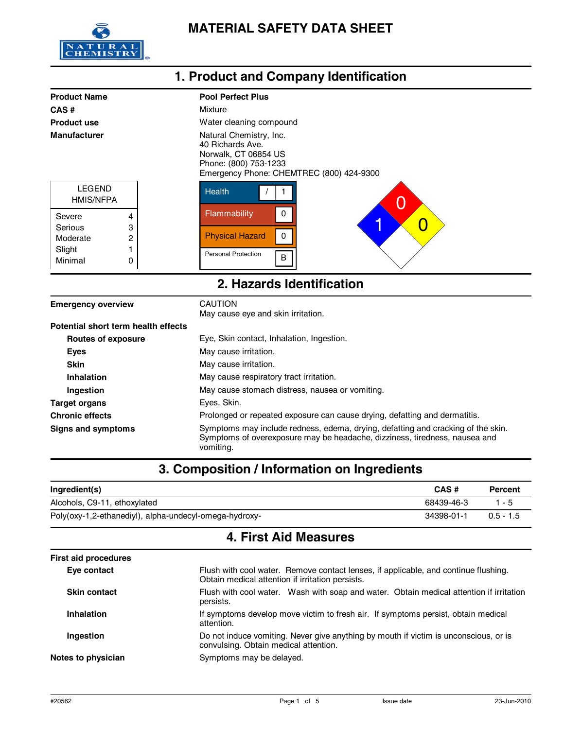

| 1. Product and Company Identification                                                                                                                           |        |                                       |  |
|-----------------------------------------------------------------------------------------------------------------------------------------------------------------|--------|---------------------------------------|--|
| <b>Product Name</b>                                                                                                                                             |        | <b>Pool Perfect Plus</b>              |  |
| CAS#                                                                                                                                                            |        | Mixture                               |  |
| <b>Product use</b>                                                                                                                                              |        | Water cleaning compound               |  |
| Natural Chemistry, Inc.<br><b>Manufacturer</b><br>40 Richards Ave.<br>Norwalk, CT 06854 US<br>Phone: (800) 753-1233<br>Emergency Phone: CHEMTREC (800) 424-9300 |        |                                       |  |
| <b>LEGEND</b><br><b>HMIS/NFPA</b>                                                                                                                               |        | <b>Health</b>                         |  |
| Severe                                                                                                                                                          | 4      | Flammability<br>$\Omega$<br>O         |  |
| Serious<br>Moderate                                                                                                                                             | 3<br>2 | <b>Physical Hazard</b><br>$\mathbf 0$ |  |
| Slight                                                                                                                                                          |        | <b>Personal Protection</b><br>в       |  |
| Minimal                                                                                                                                                         | 0      |                                       |  |
| 2. Hazards Identification                                                                                                                                       |        |                                       |  |

| <b>Emergency overview</b>           | <b>CAUTION</b><br>May cause eye and skin irritation.                                                                                                                        |
|-------------------------------------|-----------------------------------------------------------------------------------------------------------------------------------------------------------------------------|
| Potential short term health effects |                                                                                                                                                                             |
| <b>Routes of exposure</b>           | Eye, Skin contact, Inhalation, Ingestion.                                                                                                                                   |
| <b>Eyes</b>                         | May cause irritation.                                                                                                                                                       |
| <b>Skin</b>                         | May cause irritation.                                                                                                                                                       |
| Inhalation                          | May cause respiratory tract irritation.                                                                                                                                     |
| Ingestion                           | May cause stomach distress, nausea or vomiting.                                                                                                                             |
| Target organs                       | Eyes. Skin.                                                                                                                                                                 |
| <b>Chronic effects</b>              | Prolonged or repeated exposure can cause drying, defatting and dermatitis.                                                                                                  |
| <b>Signs and symptoms</b>           | Symptoms may include redness, edema, drying, defatting and cracking of the skin.<br>Symptoms of overexposure may be headache, dizziness, tiredness, nausea and<br>vomiting. |

# **3. Composition / Information on Ingredients**

| Ingredient(s)                                          | CAS#       | Percent     |
|--------------------------------------------------------|------------|-------------|
| Alcohols, C9-11, ethoxylated                           | 68439-46-3 | $1 - 5$     |
| Poly(oxy-1,2-ethanediyl), alpha-undecyl-omega-hydroxy- | 34398-01-1 | $0.5 - 1.5$ |

# **4. First Aid Measures**

| <b>First aid procedures</b> |                                                                                                                                         |  |
|-----------------------------|-----------------------------------------------------------------------------------------------------------------------------------------|--|
| Eye contact                 | Flush with cool water. Remove contact lenses, if applicable, and continue flushing.<br>Obtain medical attention if irritation persists. |  |
| <b>Skin contact</b>         | Flush with cool water. Wash with soap and water. Obtain medical attention if irritation<br>persists.                                    |  |
| <b>Inhalation</b>           | If symptoms develop move victim to fresh air. If symptoms persist, obtain medical<br>attention.                                         |  |
| Ingestion                   | Do not induce vomiting. Never give anything by mouth if victim is unconscious, or is<br>convulsing. Obtain medical attention.           |  |
| Notes to physician          | Symptoms may be delayed.                                                                                                                |  |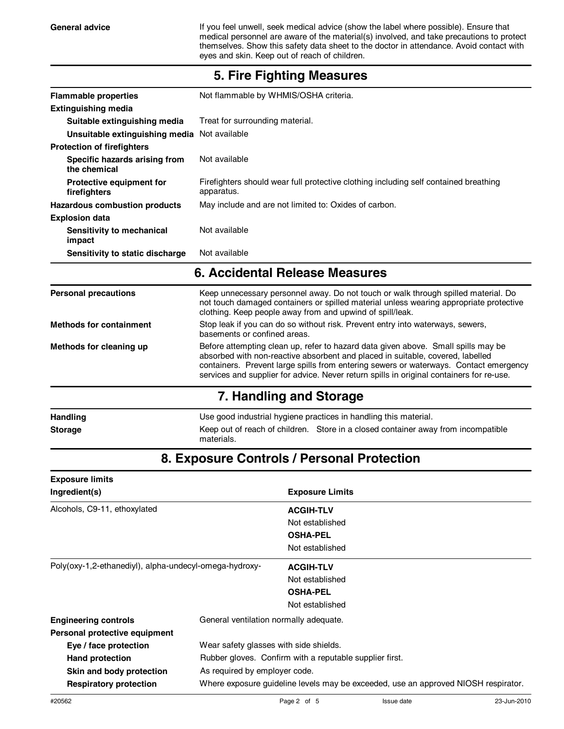General advice **If you feel unwell, seek medical advice (show the label where possible). Ensure that** medical personnel are aware of the material(s) involved, and take precautions to protect themselves. Show this safety data sheet to the doctor in attendance. Avoid contact with eyes and skin. Keep out of reach of children.

| <b>Flammable properties</b>                   | Not flammable by WHMIS/OSHA criteria.                                                                                                                                                                                                                                                                                                                    |  |
|-----------------------------------------------|----------------------------------------------------------------------------------------------------------------------------------------------------------------------------------------------------------------------------------------------------------------------------------------------------------------------------------------------------------|--|
| <b>Extinguishing media</b>                    |                                                                                                                                                                                                                                                                                                                                                          |  |
| Suitable extinguishing media                  | Treat for surrounding material.                                                                                                                                                                                                                                                                                                                          |  |
| Unsuitable extinguishing media Not available  |                                                                                                                                                                                                                                                                                                                                                          |  |
| <b>Protection of firefighters</b>             |                                                                                                                                                                                                                                                                                                                                                          |  |
| Specific hazards arising from<br>the chemical | Not available                                                                                                                                                                                                                                                                                                                                            |  |
| Protective equipment for<br>firefighters      | Firefighters should wear full protective clothing including self contained breathing<br>apparatus.                                                                                                                                                                                                                                                       |  |
| <b>Hazardous combustion products</b>          | May include and are not limited to: Oxides of carbon.                                                                                                                                                                                                                                                                                                    |  |
| <b>Explosion data</b>                         |                                                                                                                                                                                                                                                                                                                                                          |  |
| Sensitivity to mechanical<br>impact           | Not available                                                                                                                                                                                                                                                                                                                                            |  |
| Sensitivity to static discharge               | Not available                                                                                                                                                                                                                                                                                                                                            |  |
|                                               | 6. Accidental Release Measures                                                                                                                                                                                                                                                                                                                           |  |
| <b>Personal precautions</b>                   | Keep unnecessary personnel away. Do not touch or walk through spilled material. Do<br>not touch damaged containers or spilled material unless wearing appropriate protective<br>clothing. Keep people away from and upwind of spill/leak.                                                                                                                |  |
| <b>Methods for containment</b>                | Stop leak if you can do so without risk. Prevent entry into waterways, sewers,<br>basements or confined areas.                                                                                                                                                                                                                                           |  |
| Methods for cleaning up                       | Before attempting clean up, refer to hazard data given above. Small spills may be<br>absorbed with non-reactive absorbent and placed in suitable, covered, labelled<br>containers. Prevent large spills from entering sewers or waterways. Contact emergency<br>services and supplier for advice. Never return spills in original containers for re-use. |  |
|                                               | 7. Handling and Storage                                                                                                                                                                                                                                                                                                                                  |  |
| <b>Handling</b>                               | Use good industrial hygiene practices in handling this material.                                                                                                                                                                                                                                                                                         |  |

### **5. Fire Fighting Measures**

### **8. Exposure Controls / Personal Protection**

**Storage** Keep out of reach of children. Store in a closed container away from incompatible

materials.

| <b>Exposure limits</b>                                          |                                                         |                                                                                    |  |
|-----------------------------------------------------------------|---------------------------------------------------------|------------------------------------------------------------------------------------|--|
| Ingredient(s)                                                   |                                                         | <b>Exposure Limits</b>                                                             |  |
| Alcohols, C9-11, ethoxylated                                    |                                                         | <b>ACGIH-TLV</b>                                                                   |  |
|                                                                 |                                                         | Not established                                                                    |  |
|                                                                 |                                                         | <b>OSHA-PEL</b>                                                                    |  |
|                                                                 |                                                         | Not established                                                                    |  |
| Poly(oxy-1,2-ethanediyl), alpha-undecyl-omega-hydroxy-          |                                                         | <b>ACGIH-TLV</b>                                                                   |  |
|                                                                 |                                                         | Not established                                                                    |  |
|                                                                 |                                                         | <b>OSHA-PEL</b>                                                                    |  |
|                                                                 |                                                         | Not established                                                                    |  |
| <b>Engineering controls</b>                                     | General ventilation normally adequate.                  |                                                                                    |  |
| Personal protective equipment                                   |                                                         |                                                                                    |  |
| Wear safety glasses with side shields.<br>Eye / face protection |                                                         |                                                                                    |  |
| Hand protection                                                 | Rubber gloves. Confirm with a reputable supplier first. |                                                                                    |  |
| Skin and body protection                                        | As required by employer code.                           |                                                                                    |  |
| <b>Respiratory protection</b>                                   |                                                         | Where exposure quideline levels may be exceeded, use an approved NIOSH respirator. |  |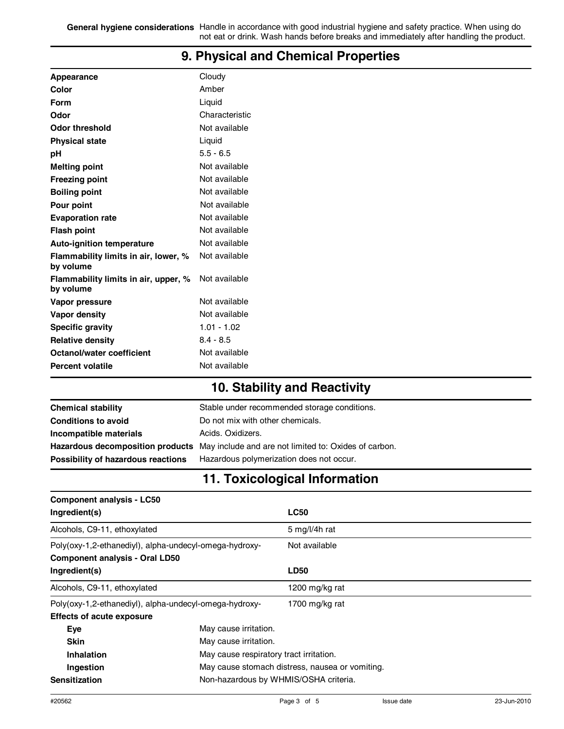**General hygiene considerations** Handle in accordance with good industrial hygiene and safety practice. When using do not eat or drink. Wash hands before breaks and immediately after handling the product.

| Appearance                                        | Cloudy         |
|---------------------------------------------------|----------------|
| Color                                             | Amber          |
| Form                                              | Liquid         |
| Odor                                              | Characteristic |
| Odor threshold                                    | Not available  |
| <b>Physical state</b>                             | Liquid         |
| рH                                                | $5.5 - 6.5$    |
| <b>Melting point</b>                              | Not available  |
| Freezing point                                    | Not available  |
| <b>Boiling point</b>                              | Not available  |
| Pour point                                        | Not available  |
| <b>Evaporation rate</b>                           | Not available  |
| Flash point                                       | Not available  |
| <b>Auto-ignition temperature</b>                  | Not available  |
| Flammability limits in air, lower, %<br>by volume | Not available  |
| Flammability limits in air, upper, %<br>by volume | Not available  |
| Vapor pressure                                    | Not available  |
| Vapor density                                     | Not available  |
| <b>Specific gravity</b>                           | $1.01 - 1.02$  |
| <b>Relative density</b>                           | $8.4 - 8.5$    |
| Octanol/water coefficient                         | Not available  |
| <b>Percent volatile</b>                           | Not available  |
|                                                   |                |

### **9. Physical and Chemical Properties**

# **10. Stability and Reactivity**

| <b>Chemical stability</b>          | Stable under recommended storage conditions.                                           |
|------------------------------------|----------------------------------------------------------------------------------------|
| <b>Conditions to avoid</b>         | Do not mix with other chemicals.                                                       |
| Incompatible materials             | Acids, Oxidizers,                                                                      |
|                                    | Hazardous decomposition products May include and are not limited to: Oxides of carbon. |
| Possibility of hazardous reactions | Hazardous polymerization does not occur.                                               |

# **11. Toxicological Information**

| <b>Component analysis - LC50</b>                       |  |                                                 |  |
|--------------------------------------------------------|--|-------------------------------------------------|--|
| Ingredient(s)                                          |  | <b>LC50</b>                                     |  |
| Alcohols, C9-11, ethoxylated                           |  | 5 mg/l/4h rat                                   |  |
| Poly(oxy-1,2-ethanediyl), alpha-undecyl-omega-hydroxy- |  | Not available                                   |  |
| <b>Component analysis - Oral LD50</b>                  |  |                                                 |  |
| Ingredient(s)                                          |  | <b>LD50</b>                                     |  |
| Alcohols, C9-11, ethoxylated                           |  | 1200 mg/kg rat                                  |  |
| Poly(oxy-1,2-ethanediyl), alpha-undecyl-omega-hydroxy- |  | 1700 mg/kg rat                                  |  |
| <b>Effects of acute exposure</b>                       |  |                                                 |  |
| Eye                                                    |  | May cause irritation.                           |  |
| <b>Skin</b>                                            |  | May cause irritation.                           |  |
| Inhalation                                             |  | May cause respiratory tract irritation.         |  |
| Ingestion                                              |  | May cause stomach distress, nausea or vomiting. |  |
| <b>Sensitization</b>                                   |  | Non-hazardous by WHMIS/OSHA criteria.           |  |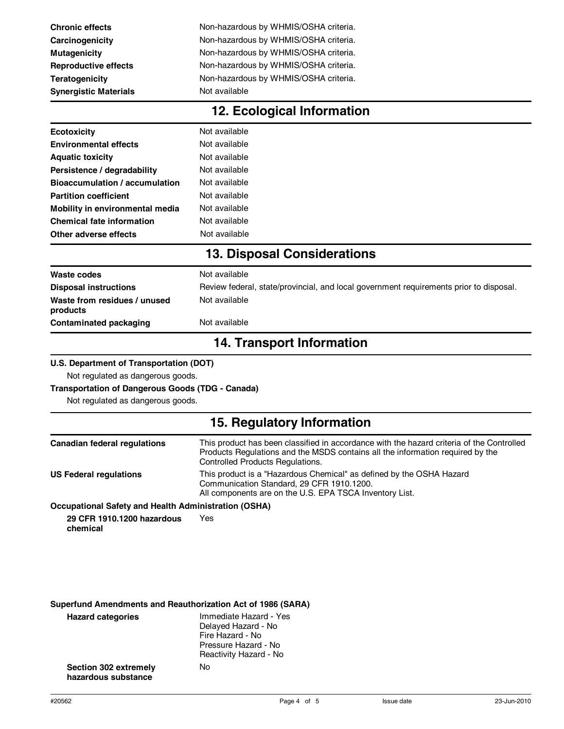| <b>Chronic effects</b>       | Non-hazardous by WHMIS/OSHA criteria. |
|------------------------------|---------------------------------------|
| Carcinogenicity              | Non-hazardous by WHMIS/OSHA criteria. |
| <b>Mutagenicity</b>          | Non-hazardous by WHMIS/OSHA criteria. |
| <b>Reproductive effects</b>  | Non-hazardous by WHMIS/OSHA criteria. |
| <b>Teratogenicity</b>        | Non-hazardous by WHMIS/OSHA criteria. |
| <b>Synergistic Materials</b> | Not available                         |

| 12. Ecological Information |
|----------------------------|
|----------------------------|

| <b>Ecotoxicity</b>               | Not available |
|----------------------------------|---------------|
| <b>Environmental effects</b>     | Not available |
| <b>Aquatic toxicity</b>          | Not available |
| Persistence / degradability      | Not available |
| Bioaccumulation / accumulation   | Not available |
| <b>Partition coefficient</b>     | Not available |
| Mobility in environmental media  | Not available |
| <b>Chemical fate information</b> | Not available |
| Other adverse effects            | Not available |
|                                  |               |

### **13. Disposal Considerations**

| Contaminated packaging                   | Not available                                                                          |
|------------------------------------------|----------------------------------------------------------------------------------------|
| Waste from residues / unused<br>products | Not available                                                                          |
| <b>Disposal instructions</b>             | Review federal, state/provincial, and local government requirements prior to disposal. |
| Waste codes                              | Not available                                                                          |

### **14. Transport Information**

#### **U.S. Department of Transportation (DOT)**

Not regulated as dangerous goods.

#### **Transportation of Dangerous Goods (TDG - Canada)**

Not regulated as dangerous goods.

# **15. Regulatory Information**

| <b>Canadian federal regulations</b>                                                                           | This product has been classified in accordance with the hazard criteria of the Controlled<br>Products Regulations and the MSDS contains all the information required by the<br><b>Controlled Products Regulations.</b> |
|---------------------------------------------------------------------------------------------------------------|------------------------------------------------------------------------------------------------------------------------------------------------------------------------------------------------------------------------|
| <b>US Federal regulations</b>                                                                                 | This product is a "Hazardous Chemical" as defined by the OSHA Hazard<br>Communication Standard, 29 CFR 1910.1200.<br>All components are on the U.S. EPA TSCA Inventory List.                                           |
| $\mathbf{A}$ . The set of $\mathbf{A}$ is the set of $\mathbf{A}$ is the set of $\mathbf{A}$ and $\mathbf{A}$ |                                                                                                                                                                                                                        |

### **Occupational Safety and Health Administration (OSHA)**

**29 CFR 1910.1200 hazardous chemical** Yes

### **Superfund Amendments and Reauthorization Act of 1986 (SARA)**

| <b>Hazard categories</b>                     | Immediate Hazard - Yes<br>Delayed Hazard - No<br>Fire Hazard - No<br>Pressure Hazard - No<br>Reactivity Hazard - No |
|----------------------------------------------|---------------------------------------------------------------------------------------------------------------------|
| Section 302 extremely<br>hazardous substance | N٥                                                                                                                  |